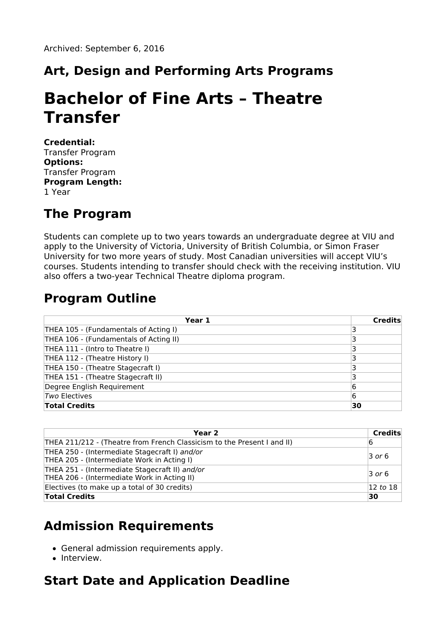# **Art, Design and Performing Arts Programs**

# **Bachelor of Fine Arts – Theatre Transfer**

**Credential:** Transfer Program **Options:** Transfer Program **Program Length:** 1 Year

### **The Program**

Students can complete up to two years towards an undergraduate degree at VIU and apply to the University of Victoria, University of British Columbia, or Simon Fraser University for two more years of study. Most Canadian universities will accept VIU's courses. Students intending to transfer should check with the receiving institution. VIU also offers a two-year Technical Theatre diploma program.

### **Program Outline**

| Year 1                                 | <b>Credits</b> |
|----------------------------------------|----------------|
| THEA 105 - (Fundamentals of Acting I)  |                |
| THEA 106 - (Fundamentals of Acting II) |                |
| THEA 111 - (Intro to Theatre I)        |                |
| THEA 112 - (Theatre History I)         |                |
| THEA 150 - (Theatre Stagecraft I)      |                |
| THEA 151 - (Theatre Stagecraft II)     |                |
| Degree English Requirement             | 6              |
| Two Electives                          | 6              |
| <b>Total Credits</b>                   | 30             |

| Year 2                                                                                        | Credits             |
|-----------------------------------------------------------------------------------------------|---------------------|
| THEA 211/212 - (Theatre from French Classicism to the Present I and II)                       | 16                  |
| THEA 250 - (Intermediate Stagecraft I) and/or<br>THEA 205 - (Intermediate Work in Acting I)   | $\overline{3}$ or 6 |
| THEA 251 - (Intermediate Stagecraft II) and/or<br>THEA 206 - (Intermediate Work in Acting II) | $\overline{3}$ or 6 |
| Electives (to make up a total of 30 credits)                                                  | 12 to 18            |
| <b>Total Credits</b>                                                                          | 30                  |

# **Admission Requirements**

- General admission requirements apply.
- Interview.

# **Start Date and Application Deadline**